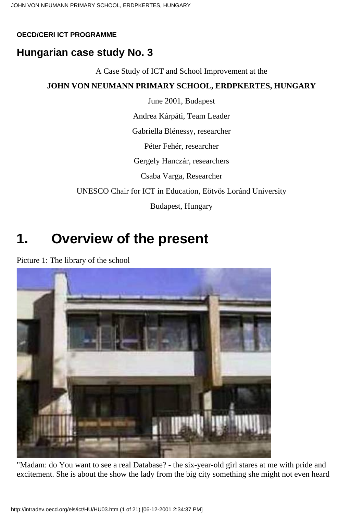#### **OECD/CERI ICT PROGRAMME**

## **Hungarian case study No. 3**

A Case Study of ICT and School Improvement at the

## **JOHN VON NEUMANN PRIMARY SCHOOL, ERDPKERTES, HUNGARY**

June 2001, Budapest

Andrea Kárpáti, Team Leader

Gabriella Blénessy, researcher

Péter Fehér, researcher

Gergely Hanczár, researchers

Csaba Varga, Researcher

UNESCO Chair for ICT in Education, Eötvös Loránd University

Budapest, Hungary

## **1. Overview of the present**

Picture 1: The library of the school



"Madam: do You want to see a real Database? - the six-year-old girl stares at me with pride and excitement. She is about the show the lady from the big city something she might not even heard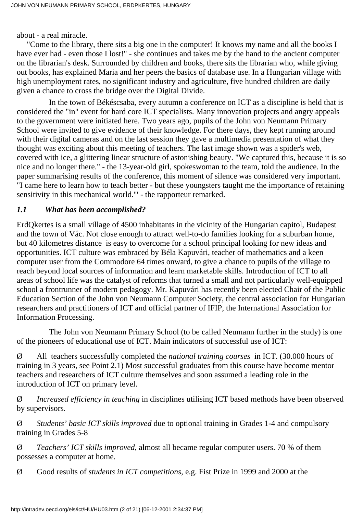about - a real miracle.

 "Come to the library, there sits a big one in the computer! It knows my name and all the books I have ever had - even those I lost!" - she continues and takes me by the hand to the ancient computer on the librarian's desk. Surrounded by children and books, there sits the librarian who, while giving out books, has explained Maria and her peers the basics of database use. In a Hungarian village with high unemployment rates, no significant industry and agriculture, five hundred children are daily given a chance to cross the bridge over the Digital Divide.

 In the town of Békéscsaba, every autumn a conference on ICT as a discipline is held that is considered the "in" event for hard core ICT specialists. Many innovation projects and angry appeals to the government were initiated here. Two years ago, pupils of the John von Neumann Primary School were invited to give evidence of their knowledge. For there days, they kept running around with their digital cameras and on the last session they gave a multimedia presentation of what they thought was exciting about this meeting of teachers. The last image shown was a spider's web, covered with ice, a glittering linear structure of astonishing beauty. "We captured this, because it is so nice and no longer there." - the 13-year-old girl, spokeswoman to the team, told the audience. In the paper summarising results of the conference, this moment of silence was considered very important. "I came here to learn how to teach better - but these youngsters taught me the importance of retaining sensitivity in this mechanical world.'" - the rapporteur remarked.

#### *1.1 What has been accomplished?*

ErdQkertes is a small village of 4500 inhabitants in the vicinity of the Hungarian capitol, Budapest and the town of Vác. Not close enough to attract well-to-do families looking for a suburban home, but 40 kilometres distance is easy to overcome for a school principal looking for new ideas and opportunities. ICT culture was embraced by Béla Kapuvári, teacher of mathematics and a keen computer user from the Commodore 64 times onward, to give a chance to pupils of the village to reach beyond local sources of information and learn marketable skills. Introduction of ICT to all areas of school life was the catalyst of reforms that turned a small and not particularly well-equipped school a frontrunner of modern pedagogy. Mr. Kapuvári has recently been elected Chair of the Public Education Section of the John von Neumann Computer Society, the central association for Hungarian researchers and practitioners of ICT and official partner of IFIP, the International Association for Information Processing.

 The John von Neumann Primary School (to be called Neumann further in the study) is one of the pioneers of educational use of ICT. Main indicators of successful use of ICT:

Ø All teachers successfully completed the *national training courses* in ICT. (30.000 hours of training in 3 years, see Point 2.1) Most successful graduates from this course have become mentor teachers and researchers of ICT culture themselves and soon assumed a leading role in the introduction of ICT on primary level.

Ø *Increased efficiency in teaching* in disciplines utilising ICT based methods have been observed by supervisors.

Ø *Students' basic ICT skills improved* due to optional training in Grades 1-4 and compulsory training in Grades 5-8

Ø *Teachers' ICT skills improved*, almost all became regular computer users. 70 % of them possesses a computer at home.

Ø Good results of *students in ICT competitions*, e.g. Fist Prize in 1999 and 2000 at the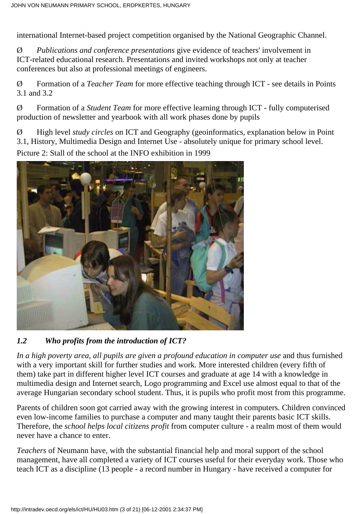international Internet-based project competition organised by the National Geographic Channel.

Ø *Publications and conference presentations* give evidence of teachers' involvement in ICT-related educational research. Presentations and invited workshops not only at teacher conferences but also at professional meetings of engineers.

Ø Formation of a *Teacher Team* for more effective teaching through ICT - see details in Points 3.1 and 3.2

Ø Formation of a *Student Team* for more effective learning through ICT - fully computerised production of newsletter and yearbook with all work phases done by pupils

Ø High level *study circles* on ICT and Geography (geoinformatics, explanation below in Point 3.1, History, Multimedia Design and Internet Use - absolutely unique for primary school level. Picture 2: Stall of the school at the INFO exhibition in 1999



#### *1.2 Who profits from the introduction of ICT?*

*In a high poverty area, all pupils are given a profound education in computer use* and thus furnished with a very important skill for further studies and work*.* More interested children (every fifth of them) take part in different higher level ICT courses and graduate at age 14 with a knowledge in multimedia design and Internet search, Logo programming and Excel use almost equal to that of the average Hungarian secondary school student. Thus, it is pupils who profit most from this programme.

Parents of children soon got carried away with the growing interest in computers. Children convinced even low-income families to purchase a computer and many taught their parents basic ICT skills. Therefore, the *school helps local citizens profit* from computer culture - a realm most of them would never have a chance to enter.

*Teachers* of Neumann have, with the substantial financial help and moral support of the school management, have all completed a variety of ICT courses useful for their everyday work. Those who teach ICT as a discipline (13 people - a record number in Hungary - have received a computer for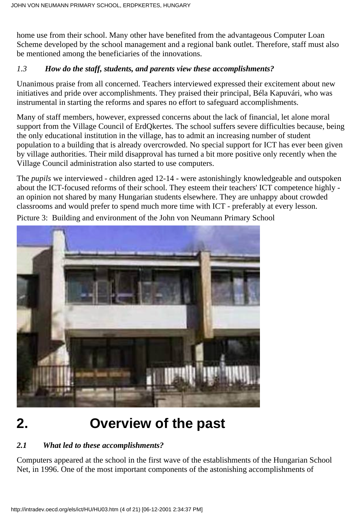home use from their school. Many other have benefited from the advantageous Computer Loan Scheme developed by the school management and a regional bank outlet. Therefore, staff must also be mentioned among the beneficiaries of the innovations.

## *1.3 How do the staff, students, and parents view these accomplishments?*

Unanimous praise from all concerned. Teachers interviewed expressed their excitement about new initiatives and pride over accomplishments. They praised their principal, Béla Kapuvári, who was instrumental in starting the reforms and spares no effort to safeguard accomplishments.

Many of staff members, however, expressed concerns about the lack of financial, let alone moral support from the Village Council of ErdQkertes. The school suffers severe difficulties because, being the only educational institution in the village, has to admit an increasing number of student population to a building that is already overcrowded. No special support for ICT has ever been given by village authorities. Their mild disapproval has turned a bit more positive only recently when the Village Council administration also started to use computers.

The *pupils* we interviewed - children aged 12-14 - were astonishingly knowledgeable and outspoken about the ICT-focused reforms of their school. They esteem their teachers' ICT competence highly an opinion not shared by many Hungarian students elsewhere. They are unhappy about crowded classrooms and would prefer to spend much more time with ICT - preferably at every lesson.



Picture 3: Building and environment of the John von Neumann Primary School

## **2. Overview of the past**

## *2.1 What led to these accomplishments?*

Computers appeared at the school in the first wave of the establishments of the Hungarian School Net, in 1996. One of the most important components of the astonishing accomplishments of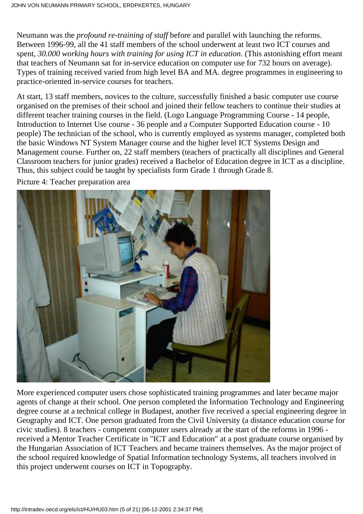Neumann was the *profound re-training of staff* before and parallel with launching the reforms. Between 1996-99, all the 41 staff members of the school underwent at least two ICT courses and spent, *30.000 working hours with training for using ICT in education*. (This astonishing effort meant that teachers of Neumann sat for in-service education on computer use for 732 hours on average). Types of training received varied from high level BA and MA. degree programmes in engineering to practice-oriented in-service courses for teachers.

At start, 13 staff members, novices to the culture, successfully finished a basic computer use course organised on the premises of their school and joined their fellow teachers to continue their studies at different teacher training courses in the field. (Logo Language Programming Course - 14 people, Introduction to Internet Use course - 36 people and a Computer Supported Education course - 10 people) The technician of the school, who is currently employed as systems manager, completed both the basic Windows NT System Manager course and the higher level ICT Systems Design and Management course. Further on, 22 staff members (teachers of practically all disciplines and General Classroom teachers for junior grades) received a Bachelor of Education degree in ICT as a discipline. Thus, this subject could be taught by specialists form Grade 1 through Grade 8.

Picture 4: Teacher preparation area



More experienced computer users chose sophisticated training programmes and later became major agents of change at their school. One person completed the Information Technology and Engineering degree course at a technical college in Budapest, another five received a special engineering degree in Geography and ICT. One person graduated from the Civil University (a distance education course for civic studies). 8 teachers - competent computer users already at the start of the reforms in 1996 received a Mentor Teacher Certificate in "ICT and Education" at a post graduate course organised by the Hungarian Association of ICT Teachers and became trainers themselves. As the major project of the school required knowledge of Spatial Information technology Systems, all teachers involved in this project underwent courses on ICT in Topography.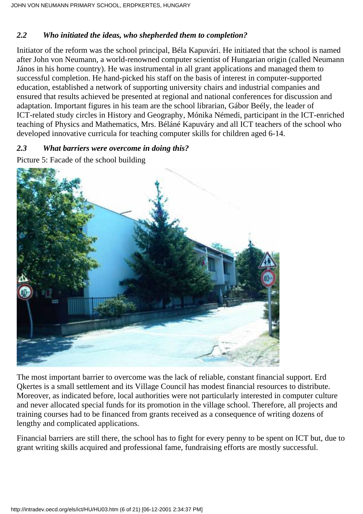### *2.2 Who initiated the ideas, who shepherded them to completion?*

Initiator of the reform was the school principal, Béla Kapuvári. He initiated that the school is named after John von Neumann, a world-renowned computer scientist of Hungarian origin (called Neumann János in his home country). He was instrumental in all grant applications and managed them to successful completion. He hand-picked his staff on the basis of interest in computer-supported education, established a network of supporting university chairs and industrial companies and ensured that results achieved be presented at regional and national conferences for discussion and adaptation. Important figures in his team are the school librarian, Gábor Beély, the leader of ICT-related study circles in History and Geography, Mónika Némedi, participant in the ICT-enriched teaching of Physics and Mathematics, Mrs. Béláné Kapuváry and all ICT teachers of the school who developed innovative curricula for teaching computer skills for children aged 6-14.

### *2.3 What barriers were overcome in doing this?*

Picture 5: Facade of the school building



The most important barrier to overcome was the lack of reliable, constant financial support. Erd Qkertes is a small settlement and its Village Council has modest financial resources to distribute. Moreover, as indicated before, local authorities were not particularly interested in computer culture and never allocated special funds for its promotion in the village school. Therefore, all projects and training courses had to be financed from grants received as a consequence of writing dozens of lengthy and complicated applications.

Financial barriers are still there, the school has to fight for every penny to be spent on ICT but, due to grant writing skills acquired and professional fame, fundraising efforts are mostly successful.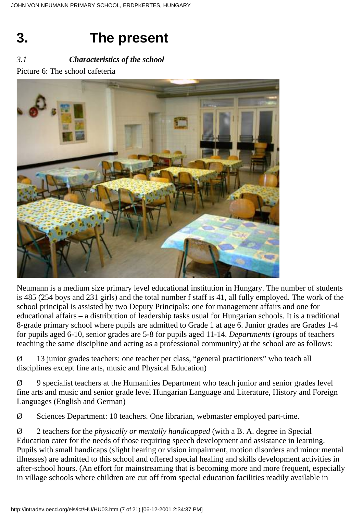# **3. The present**

## *3.1 Characteristics of the school*

Picture 6: The school cafeteria



Neumann is a medium size primary level educational institution in Hungary. The number of students is 485 (254 boys and 231 girls) and the total number f staff is 41, all fully employed. The work of the school principal is assisted by two Deputy Principals: one for management affairs and one for educational affairs – a distribution of leadership tasks usual for Hungarian schools. It is a traditional 8-grade primary school where pupils are admitted to Grade 1 at age 6. Junior grades are Grades 1-4 for pupils aged 6-10, senior grades are 5-8 for pupils aged 11-14. *Departments* (groups of teachers teaching the same discipline and acting as a professional community) at the school are as follows:

Ø 13 junior grades teachers: one teacher per class, "general practitioners" who teach all disciplines except fine arts, music and Physical Education)

Ø 9 specialist teachers at the Humanities Department who teach junior and senior grades level fine arts and music and senior grade level Hungarian Language and Literature, History and Foreign Languages (English and German)

Ø Sciences Department: 10 teachers. One librarian, webmaster employed part-time.

Ø 2 teachers for the *physically or mentally handicapped* (with a B. A. degree in Special Education cater for the needs of those requiring speech development and assistance in learning. Pupils with small handicaps (slight hearing or vision impairment, motion disorders and minor mental illnesses) are admitted to this school and offered special healing and skills development activities in after-school hours. (An effort for mainstreaming that is becoming more and more frequent, especially in village schools where children are cut off from special education facilities readily available in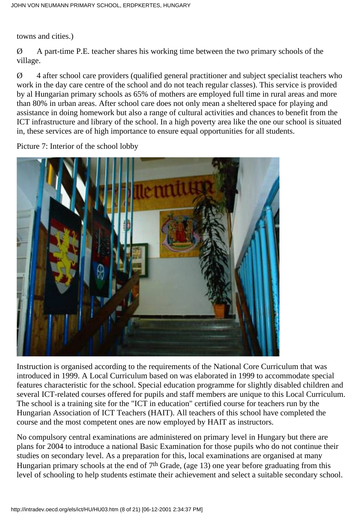towns and cities.)

 $\varnothing$  A part-time P.E. teacher shares his working time between the two primary schools of the village.

Ø 4 after school care providers (qualified general practitioner and subject specialist teachers who work in the day care centre of the school and do not teach regular classes). This service is provided by al Hungarian primary schools as 65% of mothers are employed full time in rural areas and more than 80% in urban areas. After school care does not only mean a sheltered space for playing and assistance in doing homework but also a range of cultural activities and chances to benefit from the ICT infrastructure and library of the school. In a high poverty area like the one our school is situated in, these services are of high importance to ensure equal opportunities for all students.

Picture 7: Interior of the school lobby



Instruction is organised according to the requirements of the National Core Curriculum that was introduced in 1999. A Local Curriculum based on was elaborated in 1999 to accommodate special features characteristic for the school. Special education programme for slightly disabled children and several ICT-related courses offered for pupils and staff members are unique to this Local Curriculum. The school is a training site for the "ICT in education" certified course for teachers run by the Hungarian Association of ICT Teachers (HAIT). All teachers of this school have completed the course and the most competent ones are now employed by HAIT as instructors.

No compulsory central examinations are administered on primary level in Hungary but there are plans for 2004 to introduce a national Basic Examination for those pupils who do not continue their studies on secondary level. As a preparation for this, local examinations are organised at many Hungarian primary schools at the end of  $7<sup>th</sup>$  Grade, (age 13) one year before graduating from this level of schooling to help students estimate their achievement and select a suitable secondary school.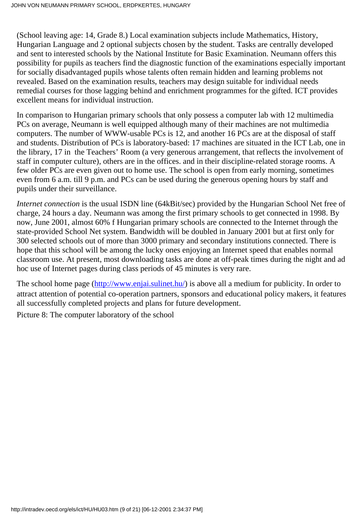(School leaving age: 14, Grade 8.) Local examination subjects include Mathematics, History, Hungarian Language and 2 optional subjects chosen by the student. Tasks are centrally developed and sent to interested schools by the National Institute for Basic Examination. Neumann offers this possibility for pupils as teachers find the diagnostic function of the examinations especially important for socially disadvantaged pupils whose talents often remain hidden and learning problems not revealed. Based on the examination results, teachers may design suitable for individual needs remedial courses for those lagging behind and enrichment programmes for the gifted. ICT provides excellent means for individual instruction.

In comparison to Hungarian primary schools that only possess a computer lab with 12 multimedia PCs on average, Neumann is well equipped although many of their machines are not multimedia computers. The number of WWW-usable PCs is 12, and another 16 PCs are at the disposal of staff and students. Distribution of PCs is laboratory-based: 17 machines are situated in the ICT Lab, one in the library, 17 in the Teachers' Room (a very generous arrangement, that reflects the involvement of staff in computer culture), others are in the offices. and in their discipline-related storage rooms. A few older PCs are even given out to home use. The school is open from early morning, sometimes even from 6 a.m. till 9 p.m. and PCs can be used during the generous opening hours by staff and pupils under their surveillance.

*Internet connection* is the usual ISDN line (64kBit/sec) provided by the Hungarian School Net free of charge, 24 hours a day. Neumann was among the first primary schools to get connected in 1998. By now, June 2001, almost 60% f Hungarian primary schools are connected to the Internet through the state-provided School Net system. Bandwidth will be doubled in January 2001 but at first only for 300 selected schools out of more than 3000 primary and secondary institutions connected. There is hope that this school will be among the lucky ones enjoying an Internet speed that enables normal classroom use. At present, most downloading tasks are done at off-peak times during the night and ad hoc use of Internet pages during class periods of 45 minutes is very rare.

The school home page ([http://www.enjai.sulinet.hu/\)](http://www.enjai.sulinet.hu/) is above all a medium for publicity. In order to attract attention of potential co-operation partners, sponsors and educational policy makers, it features all successfully completed projects and plans for future development.

Picture 8: The computer laboratory of the school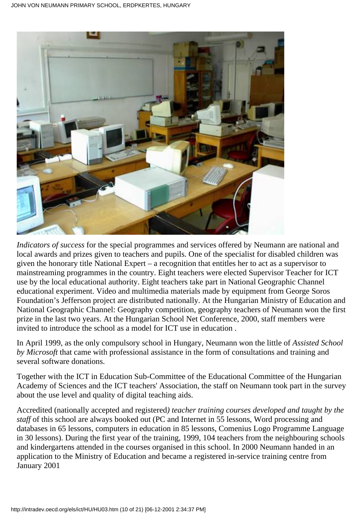

*Indicators of success* for the special programmes and services offered by Neumann are national and local awards and prizes given to teachers and pupils. One of the specialist for disabled children was given the honorary title National Expert – a recognition that entitles her to act as a supervisor to mainstreaming programmes in the country. Eight teachers were elected Supervisor Teacher for ICT use by the local educational authority. Eight teachers take part in National Geographic Channel educational experiment. Video and multimedia materials made by equipment from George Soros Foundation's Jefferson project are distributed nationally. At the Hungarian Ministry of Education and National Geographic Channel: Geography competition, geography teachers of Neumann won the first prize in the last two years. At the Hungarian School Net Conference, 2000, staff members were invited to introduce the school as a model for ICT use in education .

In April 1999, as the only compulsory school in Hungary, Neumann won the little of *Assisted School by Microsoft* that came with professional assistance in the form of consultations and training and several software donations.

Together with the ICT in Education Sub-Committee of the Educational Committee of the Hungarian Academy of Sciences and the ICT teachers' Association, the staff on Neumann took part in the survey about the use level and quality of digital teaching aids.

Accredited (nationally accepted and registered*) teacher training courses developed and taught by the staff* of this school are always booked out (PC and Internet in 55 lessons, Word processing and databases in 65 lessons, computers in education in 85 lessons, Comenius Logo Programme Language in 30 lessons). During the first year of the training, 1999, 104 teachers from the neighbouring schools and kindergartens attended in the courses organised in this school. In 2000 Neumann handed in an application to the Ministry of Education and became a registered in-service training centre from January 2001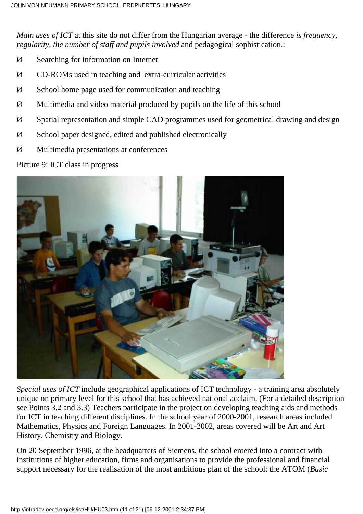*Main uses of ICT* at this site do not differ from the Hungarian average - the difference *is frequency, regularity, the number of staff and pupils involved and pedagogical sophistication.:* 

- Ø Searching for information on Internet
- Ø CD-ROMs used in teaching and extra-curricular activities
- $\varnothing$  School home page used for communication and teaching
- $\varnothing$  Multimedia and video material produced by pupils on the life of this school
- Ø Spatial representation and simple CAD programmes used for geometrical drawing and design
- $\varnothing$  School paper designed, edited and published electronically
- Ø Multimedia presentations at conferences

Picture 9: ICT class in progress



*Special uses of ICT* include geographical applications of ICT technology - a training area absolutely unique on primary level for this school that has achieved national acclaim. (For a detailed description see Points 3.2 and 3.3) Teachers participate in the project on developing teaching aids and methods for ICT in teaching different disciplines. In the school year of 2000-2001, research areas included Mathematics, Physics and Foreign Languages. In 2001-2002, areas covered will be Art and Art History, Chemistry and Biology.

On 20 September 1996, at the headquarters of Siemens, the school entered into a contract with institutions of higher education, firms and organisations to provide the professional and financial support necessary for the realisation of the most ambitious plan of the school: the ATOM (*Basic*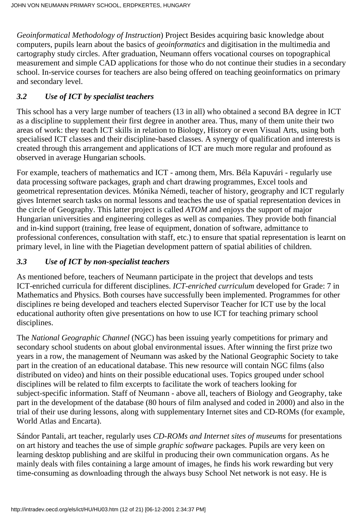*Geoinformatical Methodology of Instruction*) Project Besides acquiring basic knowledge about computers, pupils learn about the basics of *geoinformatics* and digitisation in the multimedia and cartography study circles. After graduation, Neumann offers vocational courses on topographical measurement and simple CAD applications for those who do not continue their studies in a secondary school. In-service courses for teachers are also being offered on teaching geoinformatics on primary and secondary level.

## *3.2 Use of ICT by specialist teachers*

This school has a very large number of teachers (13 in all) who obtained a second BA degree in ICT as a discipline to supplement their first degree in another area. Thus, many of them unite their two areas of work: they teach ICT skills in relation to Biology, History or even Visual Arts, using both specialised ICT classes and their discipline-based classes. A synergy of qualification and interests is created through this arrangement and applications of ICT are much more regular and profound as observed in average Hungarian schools.

For example, teachers of mathematics and ICT - among them, Mrs. Béla Kapuvári - regularly use data processing software packages, graph and chart drawing programmes, Excel tools and geometrical representation devices. Mónika Némedi, teacher of history, geography and ICT regularly gives Internet search tasks on normal lessons and teaches the use of spatial representation devices in the circle of Geography. This latter project is called *ATOM* and enjoys the support of major Hungarian universities and engineering colleges as well as companies. They provide both financial and in-kind support (training, free lease of equipment, donation of software, admittance to professional conferences, consultation with staff, etc.) to ensure that spatial representation is learnt on primary level, in line with the Piagetian development pattern of spatial abilities of children.

## *3.3 Use of ICT by non-specialist teachers*

As mentioned before, teachers of Neumann participate in the project that develops and tests ICT-enriched curricula for different disciplines. *ICT-enriched curriculum* developed for Grade: 7 in Mathematics and Physics. Both courses have successfully been implemented. Programmes for other disciplines re being developed and teachers elected Supervisor Teacher for ICT use by the local educational authority often give presentations on how to use ICT for teaching primary school disciplines.

The *National Geographic Channel* (NGC) has been issuing yearly competitions for primary and secondary school students on about global environmental issues. After winning the first prize two years in a row, the management of Neumann was asked by the National Geographic Society to take part in the creation of an educational database. This new resource will contain NGC films (also distributed on video) and hints on their possible educational uses. Topics grouped under school disciplines will be related to film excerpts to facilitate the work of teachers looking for subject-specific information. Staff of Neumann - above all, teachers of Biology and Geography, take part in the development of the database (80 hours of film analysed and coded in 2000) and also in the trial of their use during lessons, along with supplementary Internet sites and CD-ROMs (for example, World Atlas and Encarta).

Sándor Pantali, art teacher, regularly uses *CD-ROMs and Internet sites of museums* for presentations on art history and teaches the use of simple *graphic software* packages. Pupils are very keen on learning desktop publishing and are skilful in producing their own communication organs. As he mainly deals with files containing a large amount of images, he finds his work rewarding but very time-consuming as downloading through the always busy School Net network is not easy. He is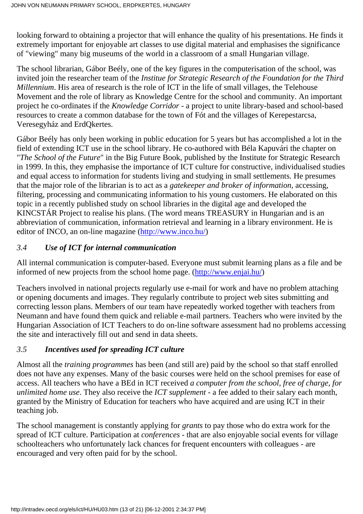looking forward to obtaining a projector that will enhance the quality of his presentations. He finds it extremely important for enjoyable art classes to use digital material and emphasises the significance of "viewing" many big museums of the world in a classroom of a small Hungarian village.

The school librarian, Gábor Beély, one of the key figures in the computerisation of the school, was invited join the researcher team of the *Institue for Strategic Research of the Foundation for the Third Millennium*. His area of research is the role of ICT in the life of small villages, the Telehouse Movement and the role of library as Knowledge Centre for the school and community. An important project he co-ordinates if the *Knowledge Corridor* - a project to unite library-based and school-based resources to create a common database for the town of Fót and the villages of Kerepestarcsa, Veresegyház and ErdQkertes.

Gábor Beély has only been working in public education for 5 years but has accomplished a lot in the field of extending ICT use in the school library. He co-authored with Béla Kapuvári the chapter on "*The School of the Future*" in the Big Future Book, published by the Institute for Strategic Research in 1999. In this, they emphasise the importance of ICT culture for constructive, individualised studies and equal access to information for students living and studying in small settlements. He presumes that the major role of the librarian is to act as a *gatekeeper and broker of information,* accessing, filtering, processing and communicating information to his young customers. He elaborated on this topic in a recently published study on school libraries in the digital age and developed the KINCSTÁR Project to realise his plans. (The word means TREASURY in Hungarian and is an abbreviation of communication, information retrieval and learning in a library environment. He is editor of INCO, an on-line magazine [\(http://www.inco.hu/\)](http://www.inco.hu/)

### *3.4 Use of ICT for internal communication*

All internal communication is computer-based. Everyone must submit learning plans as a file and be informed of new projects from the school home page. [\(http://www.enjai.hu/](http://www.enjai.hu/))

Teachers involved in national projects regularly use e-mail for work and have no problem attaching or opening documents and images. They regularly contribute to project web sites submitting and correcting lesson plans. Members of our team have repeatedly worked together with teachers from Neumann and have found them quick and reliable e-mail partners. Teachers who were invited by the Hungarian Association of ICT Teachers to do on-line software assessment had no problems accessing the site and interactively fill out and send in data sheets.

### *3.5 Incentives used for spreading ICT culture*

Almost all the *training programmes* has been (and still are) paid by the school so that staff enrolled does not have any expenses. Many of the basic courses were held on the school premises for ease of access. All teachers who have a BEd in ICT received *a computer from the school, free of charge, for unlimited home use*. They also receive the *ICT supplement* - a fee added to their salary each month, granted by the Ministry of Education for teachers who have acquired and are using ICT in their teaching job.

The school management is constantly applying for *grants* to pay those who do extra work for the spread of ICT culture. Participation at *conferences* - that are also enjoyable social events for village schoolteachers who unfortunately lack chances for frequent encounters with colleagues - are encouraged and very often paid for by the school.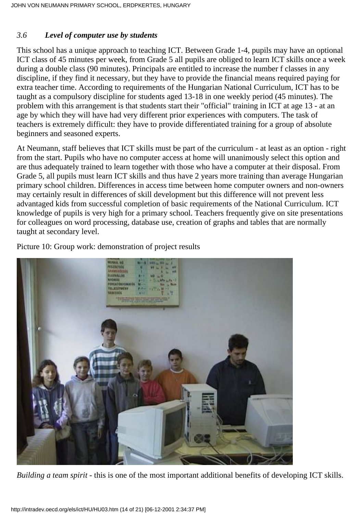### *3.6 Level of computer use by students*

This school has a unique approach to teaching ICT. Between Grade 1-4, pupils may have an optional ICT class of 45 minutes per week, from Grade 5 all pupils are obliged to learn ICT skills once a week during a double class (90 minutes). Principals are entitled to increase the number f classes in any discipline, if they find it necessary, but they have to provide the financial means required paying for extra teacher time. According to requirements of the Hungarian National Curriculum, ICT has to be taught as a compulsory discipline for students aged 13-18 in one weekly period (45 minutes). The problem with this arrangement is that students start their "official" training in ICT at age 13 - at an age by which they will have had very different prior experiences with computers. The task of teachers is extremely difficult: they have to provide differentiated training for a group of absolute beginners and seasoned experts.

At Neumann, staff believes that ICT skills must be part of the curriculum - at least as an option - right from the start. Pupils who have no computer access at home will unanimously select this option and are thus adequately trained to learn together with those who have a computer at their disposal. From Grade 5, all pupils must learn ICT skills and thus have 2 years more training than average Hungarian primary school children. Differences in access time between home computer owners and non-owners may certainly result in differences of skill development but this difference will not prevent less advantaged kids from successful completion of basic requirements of the National Curriculum. ICT knowledge of pupils is very high for a primary school. Teachers frequently give on site presentations for colleagues on word processing, database use, creation of graphs and tables that are normally taught at secondary level.

Picture 10: Group work: demonstration of project results



*Building a team spirit* - this is one of the most important additional benefits of developing ICT skills.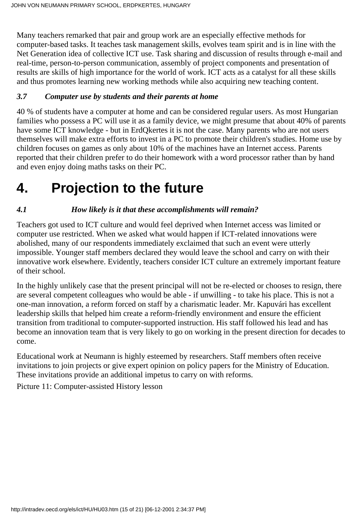Many teachers remarked that pair and group work are an especially effective methods for computer-based tasks. It teaches task management skills, evolves team spirit and is in line with the Net Generation idea of collective ICT use. Task sharing and discussion of results through e-mail and real-time, person-to-person communication, assembly of project components and presentation of results are skills of high importance for the world of work. ICT acts as a catalyst for all these skills and thus promotes learning new working methods while also acquiring new teaching content.

### *3.7 Computer use by students and their parents at home*

40 % of students have a computer at home and can be considered regular users. As most Hungarian families who possess a PC will use it as a family device, we might presume that about 40% of parents have some ICT knowledge - but in ErdQkertes it is not the case. Many parents who are not users themselves will make extra efforts to invest in a PC to promote their children's studies. Home use by children focuses on games as only about 10% of the machines have an Internet access. Parents reported that their children prefer to do their homework with a word processor rather than by hand and even enjoy doing maths tasks on their PC.

## **4. Projection to the future**

### *4.1 How likely is it that these accomplishments will remain?*

Teachers got used to ICT culture and would feel deprived when Internet access was limited or computer use restricted. When we asked what would happen if ICT-related innovations were abolished, many of our respondents immediately exclaimed that such an event were utterly impossible. Younger staff members declared they would leave the school and carry on with their innovative work elsewhere. Evidently, teachers consider ICT culture an extremely important feature of their school.

In the highly unlikely case that the present principal will not be re-elected or chooses to resign, there are several competent colleagues who would be able - if unwilling - to take his place. This is not a one-man innovation, a reform forced on staff by a charismatic leader. Mr. Kapuvári has excellent leadership skills that helped him create a reform-friendly environment and ensure the efficient transition from traditional to computer-supported instruction. His staff followed his lead and has become an innovation team that is very likely to go on working in the present direction for decades to come.

Educational work at Neumann is highly esteemed by researchers. Staff members often receive invitations to join projects or give expert opinion on policy papers for the Ministry of Education. These invitations provide an additional impetus to carry on with reforms.

Picture 11: Computer-assisted History lesson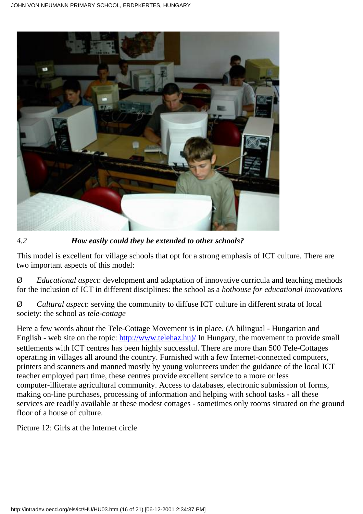

*4.2 How easily could they be extended to other schools?*

This model is excellent for village schools that opt for a strong emphasis of ICT culture. There are two important aspects of this model:

Ø *Educational aspect*: development and adaptation of innovative curricula and teaching methods for the inclusion of ICT in different disciplines: the school as a *hothouse for educational innovations*

Ø *Cultural aspect*: serving the community to diffuse ICT culture in different strata of local society: the school as *tele-cottage*

Here a few words about the Tele-Cottage Movement is in place. (A bilingual - Hungarian and English - web site on the topic: [http://www.telehaz.hu\)/](http://www.telehaz.hu)/) In Hungary, the movement to provide small settlements with ICT centres has been highly successful. There are more than 500 Tele-Cottages operating in villages all around the country. Furnished with a few Internet-connected computers, printers and scanners and manned mostly by young volunteers under the guidance of the local ICT teacher employed part time, these centres provide excellent service to a more or less computer-illiterate agricultural community. Access to databases, electronic submission of forms, making on-line purchases, processing of information and helping with school tasks - all these services are readily available at these modest cottages - sometimes only rooms situated on the ground floor of a house of culture.

Picture 12: Girls at the Internet circle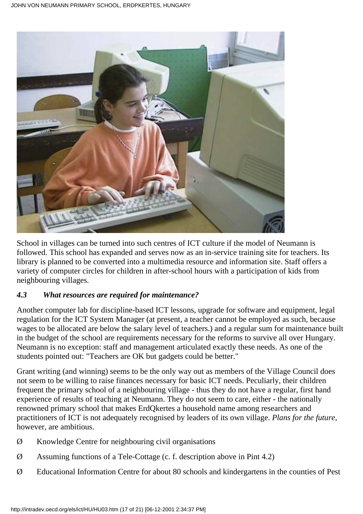

School in villages can be turned into such centres of ICT culture if the model of Neumann is followed. This school has expanded and serves now as an in-service training site for teachers. Its library is planned to be converted into a multimedia resource and information site. Staff offers a variety of computer circles for children in after-school hours with a participation of kids from neighbouring villages.

#### *4.3 What resources are required for maintenance?*

Another computer lab for discipline-based ICT lessons, upgrade for software and equipment, legal regulation for the ICT System Manager (at present, a teacher cannot be employed as such, because wages to be allocated are below the salary level of teachers.) and a regular sum for maintenance built in the budget of the school are requirements necessary for the reforms to survive all over Hungary. Neumann is no exception: staff and management articulated exactly these needs. As one of the students pointed out: "Teachers are OK but gadgets could be better."

Grant writing (and winning) seems to be the only way out as members of the Village Council does not seem to be willing to raise finances necessary for basic ICT needs. Peculiarly, their children frequent the primary school of a neighbouring village - thus they do not have a regular, first hand experience of results of teaching at Neumann. They do not seem to care, either - the nationally renowned primary school that makes ErdQkertes a household name among researchers and practitioners of ICT is not adequately recognised by leaders of its own village. *Plans for the future*, however, are ambitious.

- Ø Knowledge Centre for neighbouring civil organisations
- Ø Assuming functions of a Tele-Cottage (c. f. description above in Pint 4.2)
- Ø Educational Information Centre for about 80 schools and kindergartens in the counties of Pest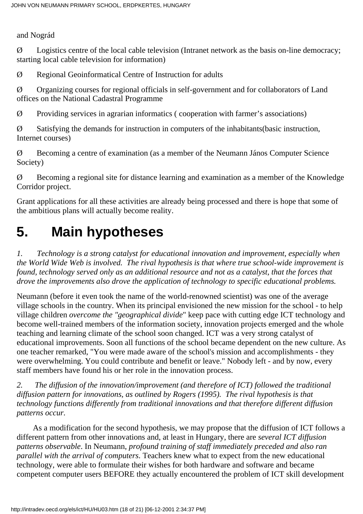and Nográd

 $\emptyset$  Logistics centre of the local cable television (Intranet network as the basis on-line democracy; starting local cable television for information)

Ø Regional Geoinformatical Centre of Instruction for adults

Ø Organizing courses for regional officials in self-government and for collaborators of Land offices on the National Cadastral Programme

 $\emptyset$  Providing services in agrarian informatics (cooperation with farmer's associations)

Ø Satisfying the demands for instruction in computers of the inhabitants(basic instruction, Internet courses)

Ø Becoming a centre of examination (as a member of the Neumann János Computer Science Society)

Ø Becoming a regional site for distance learning and examination as a member of the Knowledge Corridor project.

Grant applications for all these activities are already being processed and there is hope that some of the ambitious plans will actually become reality.

## **5. Main hypotheses**

*1. Technology is a strong catalyst for educational innovation and improvement, especially when the World Wide Web is involved. The rival hypothesis is that where true school-wide improvement is found, technology served only as an additional resource and not as a catalyst, that the forces that drove the improvements also drove the application of technology to specific educational problems.*

Neumann (before it even took the name of the world-renowned scientist) was one of the average village schools in the country. When its principal envisioned the new mission for the school - to help village children *overcome the "geographical divide*" keep pace with cutting edge ICT technology and become well-trained members of the information society, innovation projects emerged and the whole teaching and learning climate of the school soon changed. ICT was a very strong catalyst of educational improvements. Soon all functions of the school became dependent on the new culture. As one teacher remarked, "You were made aware of the school's mission and accomplishments - they were overwhelming. You could contribute and benefit or leave." Nobody left - and by now, every staff members have found his or her role in the innovation process.

*2. The diffusion of the innovation/improvement (and therefore of ICT) followed the traditional diffusion pattern for innovations, as outlined by Rogers (1995). The rival hypothesis is that technology functions differently from traditional innovations and that therefore different diffusion patterns occur.*

 As a modification for the second hypothesis, we may propose that the diffusion of ICT follows a different pattern from other innovations and, at least in Hungary, there are *several ICT diffusion patterns observable*. In Neumann, *profound training of staff immediately preceded and also ran parallel with the arrival of computers*. Teachers knew what to expect from the new educational technology, were able to formulate their wishes for both hardware and software and became competent computer users BEFORE they actually encountered the problem of ICT skill development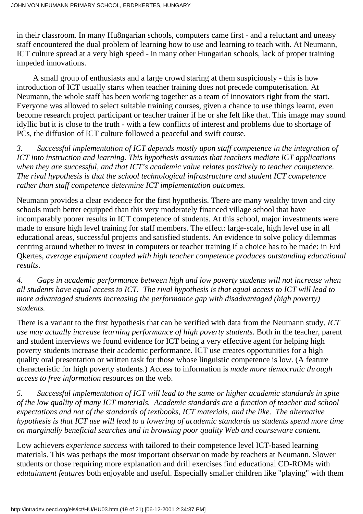in their classroom. In many Hu8ngarian schools, computers came first - and a reluctant and uneasy staff encountered the dual problem of learning how to use and learning to teach with. At Neumann, ICT culture spread at a very high speed - in many other Hungarian schools, lack of proper training impeded innovations.

 A small group of enthusiasts and a large crowd staring at them suspiciously - this is how introduction of ICT usually starts when teacher training does not precede computerisation. At Neumann, the whole staff has been working together as a team of innovators right from the start. Everyone was allowed to select suitable training courses, given a chance to use things learnt, even become research project participant or teacher trainer if he or she felt like that. This image may sound idyllic but it is close to the truth - with a few conflicts of interest and problems due to shortage of PCs, the diffusion of ICT culture followed a peaceful and swift course.

*3. Successful implementation of ICT depends mostly upon staff competence in the integration of ICT into instruction and learning. This hypothesis assumes that teachers mediate ICT applications when they are successful, and that ICT's academic value relates positively to teacher competence. The rival hypothesis is that the school technological infrastructure and student ICT competence rather than staff competence determine ICT implementation outcomes.*

Neumann provides a clear evidence for the first hypothesis. There are many wealthy town and city schools much better equipped than this very moderately financed village school that have incomparably poorer results in ICT competence of students. At this school, major investments were made to ensure high level training for staff members. The effect: large-scale, high level use in all educational areas, successful projects and satisfied students. An evidence to solve policy dilemmas centring around whether to invest in computers or teacher training if a choice has to be made: in Erd Qkertes, *average equipment coupled with high teacher competence produces outstanding educational results*.

*4. Gaps in academic performance between high and low poverty students will not increase when all students have equal access to ICT. The rival hypothesis is that equal access to ICT will lead to more advantaged students increasing the performance gap with disadvantaged (high poverty) students.*

There is a variant to the first hypothesis that can be verified with data from the Neumann study. *ICT use may actually increase learning performance of high poverty students*. Both in the teacher, parent and student interviews we found evidence for ICT being a very effective agent for helping high poverty students increase their academic performance. ICT use creates opportunities for a high quality oral presentation or written task for those whose linguistic competence is low. (A feature characteristic for high poverty students.) Access to information is *made more democratic through access to free information* resources on the web.

*5. Successful implementation of ICT will lead to the same or higher academic standards in spite of the low quality of many ICT materials. Academic standards are a function of teacher and school expectations and not of the standards of textbooks, ICT materials, and the like. The alternative hypothesis is that ICT use will lead to a lowering of academic standards as students spend more time on marginally beneficial searches and in browsing poor quality Web and courseware content.*

Low achievers *experience success* with tailored to their competence level ICT-based learning materials. This was perhaps the most important observation made by teachers at Neumann. Slower students or those requiring more explanation and drill exercises find educational CD-ROMs with *edutainment features* both enjoyable and useful. Especially smaller children like "playing" with them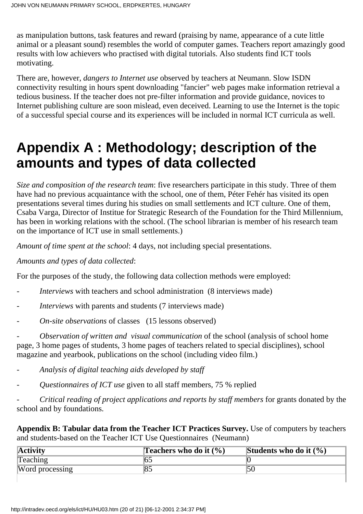as manipulation buttons, task features and reward (praising by name, appearance of a cute little animal or a pleasant sound) resembles the world of computer games. Teachers report amazingly good results with low achievers who practised with digital tutorials. Also students find ICT tools motivating.

There are, however, *dangers to Internet use* observed by teachers at Neumann. Slow ISDN connectivity resulting in hours spent downloading "fancier" web pages make information retrieval a tedious business. If the teacher does not pre-filter information and provide guidance, novices to Internet publishing culture are soon mislead, even deceived. Learning to use the Internet is the topic of a successful special course and its experiences will be included in normal ICT curricula as well.

## **Appendix A : Methodology; description of the amounts and types of data collected**

*Size and composition of the research team*: five researchers participate in this study. Three of them have had no previous acquaintance with the school, one of them, Péter Fehér has visited its open presentations several times during his studies on small settlements and ICT culture. One of them, Csaba Varga, Director of Institue for Strategic Research of the Foundation for the Third Millennium, has been in working relations with the school. (The school librarian is member of his research team on the importance of ICT use in small settlements.)

*Amount of time spent at the school*: 4 days, not including special presentations.

#### *Amounts and types of data collected*:

For the purposes of the study, the following data collection methods were employed:

- *Interviews* with teachers and school administration (8 interviews made)
- *Interviews* with parents and students (7 interviews made)
- *On-site observations* of classes (15 lessons observed)

- *Observation of written and visual communication* of the school (analysis of school home page, 3 home pages of students, 3 home pages of teachers related to special disciplines), school magazine and yearbook, publications on the school (including video film.)

- *Analysis of digital teaching aids developed by staff*
- *Questionnaires of ICT use* given to all staff members, 75 % replied

- *Critical reading of project applications and reports by staff members* for grants donated by the school and by foundations.

**Appendix B: Tabular data from the Teacher ICT Practices Survey.** Use of computers by teachers and students-based on the Teacher ICT Use Questionnaires (Neumann)

| <b>Activity</b> | <b>Teachers who do it <math>(\%)</math></b> | Students who do it $(\% )$ |
|-----------------|---------------------------------------------|----------------------------|
| <b>Teaching</b> |                                             |                            |
| Word processing |                                             |                            |
|                 |                                             |                            |